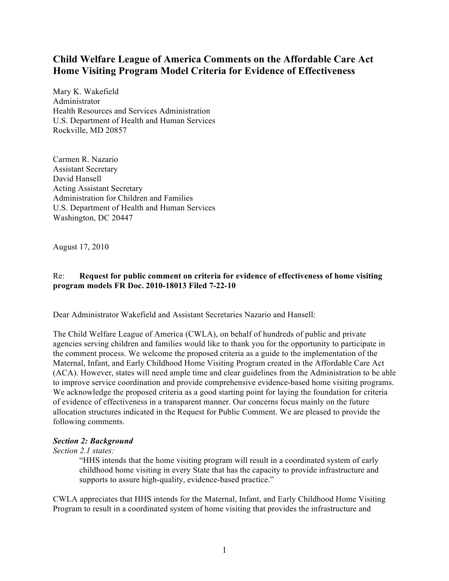# **Child Welfare League of America Comments on the Affordable Care Act Home Visiting Program Model Criteria for Evidence of Effectiveness**

Mary K. Wakefield Administrator Health Resources and Services Administration U.S. Department of Health and Human Services Rockville, MD 20857

Carmen R. Nazario Assistant Secretary David Hansell Acting Assistant Secretary Administration for Children and Families U.S. Department of Health and Human Services Washington, DC 20447

August 17, 2010

## Re: **Request for public comment on criteria for evidence of effectiveness of home visiting program models FR Doc. 2010-18013 Filed 7-22-10**

Dear Administrator Wakefield and Assistant Secretaries Nazario and Hansell:

The Child Welfare League of America (CWLA), on behalf of hundreds of public and private agencies serving children and families would like to thank you for the opportunity to participate in the comment process. We welcome the proposed criteria as a guide to the implementation of the Maternal, Infant, and Early Childhood Home Visiting Program created in the Affordable Care Act (ACA). However, states will need ample time and clear guidelines from the Administration to be able to improve service coordination and provide comprehensive evidence-based home visiting programs. We acknowledge the proposed criteria as a good starting point for laying the foundation for criteria of evidence of effectiveness in a transparent manner. Our concerns focus mainly on the future allocation structures indicated in the Request for Public Comment. We are pleased to provide the following comments.

## *Section 2: Background*

### *Section 2.1 states:*

"HHS intends that the home visiting program will result in a coordinated system of early childhood home visiting in every State that has the capacity to provide infrastructure and supports to assure high-quality, evidence-based practice."

CWLA appreciates that HHS intends for the Maternal, Infant, and Early Childhood Home Visiting Program to result in a coordinated system of home visiting that provides the infrastructure and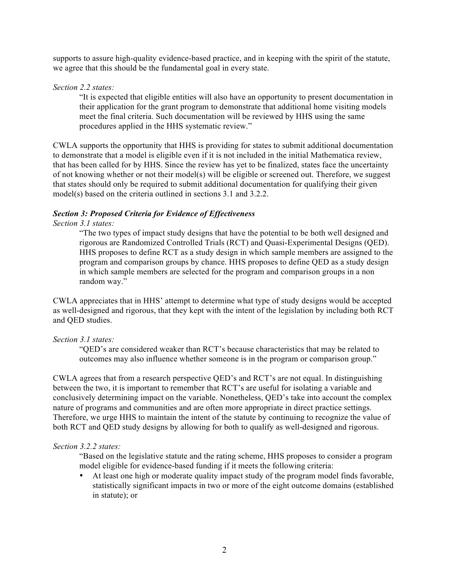supports to assure high-quality evidence-based practice, and in keeping with the spirit of the statute, we agree that this should be the fundamental goal in every state.

#### *Section 2.2 states:*

"It is expected that eligible entities will also have an opportunity to present documentation in their application for the grant program to demonstrate that additional home visiting models meet the final criteria. Such documentation will be reviewed by HHS using the same procedures applied in the HHS systematic review."

CWLA supports the opportunity that HHS is providing for states to submit additional documentation to demonstrate that a model is eligible even if it is not included in the initial Mathematica review, that has been called for by HHS. Since the review has yet to be finalized, states face the uncertainty of not knowing whether or not their model(s) will be eligible or screened out. Therefore, we suggest that states should only be required to submit additional documentation for qualifying their given model(s) based on the criteria outlined in sections 3.1 and 3.2.2.

## *Section 3: Proposed Criteria for Evidence of Effectiveness*

### *Section 3.1 states:*

"The two types of impact study designs that have the potential to be both well designed and rigorous are Randomized Controlled Trials (RCT) and Quasi-Experimental Designs (QED). HHS proposes to define RCT as a study design in which sample members are assigned to the program and comparison groups by chance. HHS proposes to define QED as a study design in which sample members are selected for the program and comparison groups in a non random way."

CWLA appreciates that in HHS' attempt to determine what type of study designs would be accepted as well-designed and rigorous, that they kept with the intent of the legislation by including both RCT and QED studies.

### *Section 3.1 states:*

"QED's are considered weaker than RCT's because characteristics that may be related to outcomes may also influence whether someone is in the program or comparison group."

CWLA agrees that from a research perspective QED's and RCT's are not equal. In distinguishing between the two, it is important to remember that RCT's are useful for isolating a variable and conclusively determining impact on the variable. Nonetheless, QED's take into account the complex nature of programs and communities and are often more appropriate in direct practice settings. Therefore, we urge HHS to maintain the intent of the statute by continuing to recognize the value of both RCT and QED study designs by allowing for both to qualify as well-designed and rigorous.

#### *Section 3.2.2 states:*

"Based on the legislative statute and the rating scheme, HHS proposes to consider a program model eligible for evidence-based funding if it meets the following criteria:

• At least one high or moderate quality impact study of the program model finds favorable, statistically significant impacts in two or more of the eight outcome domains (established in statute); or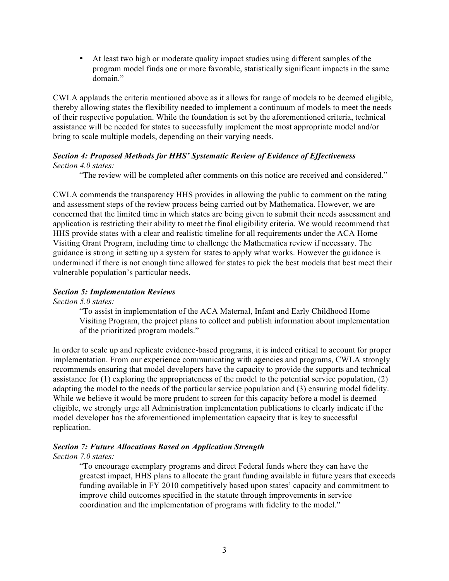• At least two high or moderate quality impact studies using different samples of the program model finds one or more favorable, statistically significant impacts in the same domain."

CWLA applauds the criteria mentioned above as it allows for range of models to be deemed eligible, thereby allowing states the flexibility needed to implement a continuum of models to meet the needs of their respective population. While the foundation is set by the aforementioned criteria, technical assistance will be needed for states to successfully implement the most appropriate model and/or bring to scale multiple models, depending on their varying needs.

## *Section 4: Proposed Methods for HHS' Systematic Review of Evidence of Effectiveness Section 4.0 states:*

"The review will be completed after comments on this notice are received and considered."

CWLA commends the transparency HHS provides in allowing the public to comment on the rating and assessment steps of the review process being carried out by Mathematica. However, we are concerned that the limited time in which states are being given to submit their needs assessment and application is restricting their ability to meet the final eligibility criteria. We would recommend that HHS provide states with a clear and realistic timeline for all requirements under the ACA Home Visiting Grant Program, including time to challenge the Mathematica review if necessary. The guidance is strong in setting up a system for states to apply what works. However the guidance is undermined if there is not enough time allowed for states to pick the best models that best meet their vulnerable population's particular needs.

## *Section 5: Implementation Reviews*

*Section 5.0 states:*

"To assist in implementation of the ACA Maternal, Infant and Early Childhood Home Visiting Program, the project plans to collect and publish information about implementation of the prioritized program models."

In order to scale up and replicate evidence-based programs, it is indeed critical to account for proper implementation. From our experience communicating with agencies and programs, CWLA strongly recommends ensuring that model developers have the capacity to provide the supports and technical assistance for (1) exploring the appropriateness of the model to the potential service population, (2) adapting the model to the needs of the particular service population and (3) ensuring model fidelity. While we believe it would be more prudent to screen for this capacity before a model is deemed eligible, we strongly urge all Administration implementation publications to clearly indicate if the model developer has the aforementioned implementation capacity that is key to successful replication.

### *Section 7: Future Allocations Based on Application Strength*

### *Section 7.0 states:*

"To encourage exemplary programs and direct Federal funds where they can have the greatest impact, HHS plans to allocate the grant funding available in future years that exceeds funding available in FY 2010 competitively based upon states' capacity and commitment to improve child outcomes specified in the statute through improvements in service coordination and the implementation of programs with fidelity to the model."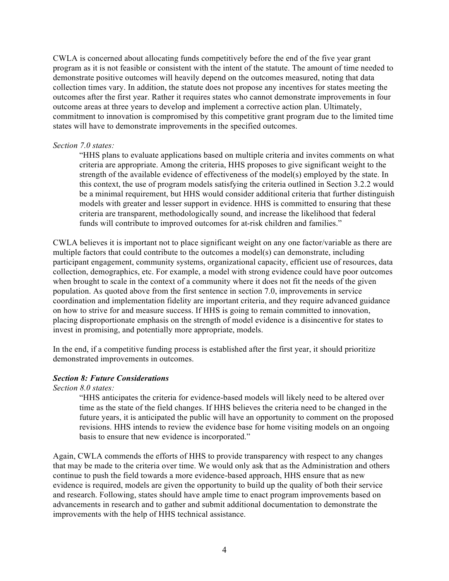CWLA is concerned about allocating funds competitively before the end of the five year grant program as it is not feasible or consistent with the intent of the statute. The amount of time needed to demonstrate positive outcomes will heavily depend on the outcomes measured, noting that data collection times vary. In addition, the statute does not propose any incentives for states meeting the outcomes after the first year. Rather it requires states who cannot demonstrate improvements in four outcome areas at three years to develop and implement a corrective action plan. Ultimately, commitment to innovation is compromised by this competitive grant program due to the limited time states will have to demonstrate improvements in the specified outcomes.

### *Section 7.0 states:*

"HHS plans to evaluate applications based on multiple criteria and invites comments on what criteria are appropriate. Among the criteria, HHS proposes to give significant weight to the strength of the available evidence of effectiveness of the model(s) employed by the state. In this context, the use of program models satisfying the criteria outlined in Section 3.2.2 would be a minimal requirement, but HHS would consider additional criteria that further distinguish models with greater and lesser support in evidence. HHS is committed to ensuring that these criteria are transparent, methodologically sound, and increase the likelihood that federal funds will contribute to improved outcomes for at-risk children and families."

CWLA believes it is important not to place significant weight on any one factor/variable as there are multiple factors that could contribute to the outcomes a model(s) can demonstrate, including participant engagement, community systems, organizational capacity, efficient use of resources, data collection, demographics, etc. For example, a model with strong evidence could have poor outcomes when brought to scale in the context of a community where it does not fit the needs of the given population. As quoted above from the first sentence in section 7.0, improvements in service coordination and implementation fidelity are important criteria, and they require advanced guidance on how to strive for and measure success. If HHS is going to remain committed to innovation, placing disproportionate emphasis on the strength of model evidence is a disincentive for states to invest in promising, and potentially more appropriate, models.

In the end, if a competitive funding process is established after the first year, it should prioritize demonstrated improvements in outcomes.

## *Section 8: Future Considerations*

## *Section 8.0 states:*

"HHS anticipates the criteria for evidence-based models will likely need to be altered over time as the state of the field changes. If HHS believes the criteria need to be changed in the future years, it is anticipated the public will have an opportunity to comment on the proposed revisions. HHS intends to review the evidence base for home visiting models on an ongoing basis to ensure that new evidence is incorporated."

Again, CWLA commends the efforts of HHS to provide transparency with respect to any changes that may be made to the criteria over time. We would only ask that as the Administration and others continue to push the field towards a more evidence-based approach, HHS ensure that as new evidence is required, models are given the opportunity to build up the quality of both their service and research. Following, states should have ample time to enact program improvements based on advancements in research and to gather and submit additional documentation to demonstrate the improvements with the help of HHS technical assistance.